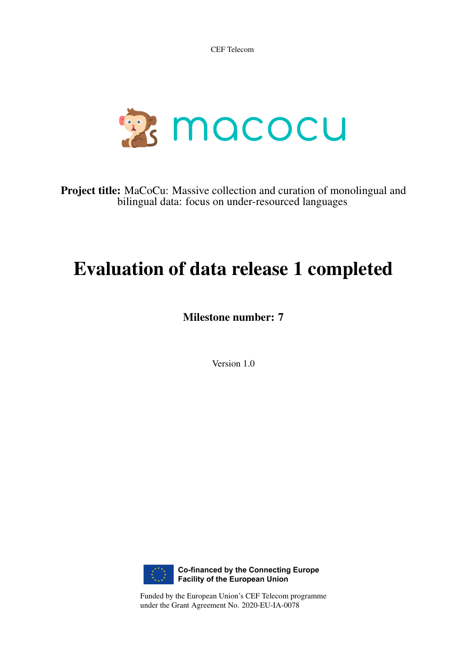CEF Telecom



Project title: MaCoCu: Massive collection and curation of monolingual and bilingual data: focus on under-resourced languages

# Evaluation of data release 1 completed

Milestone number: 7

Version 1.0



Funded by the European Union's CEF Telecom programme under the Grant Agreement No. 2020-EU-IA-0078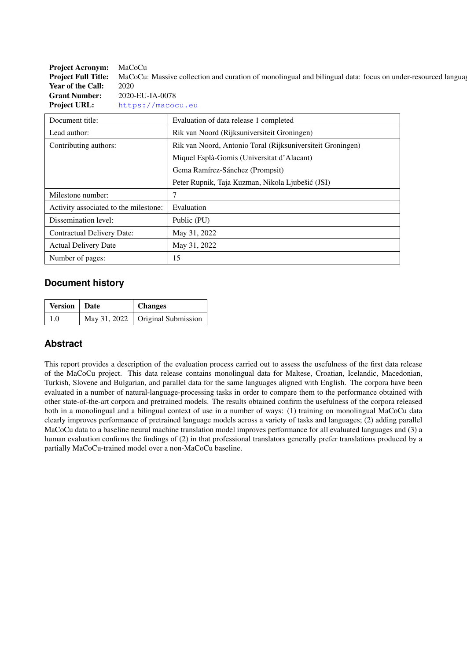Project Acronym: MaCoCu **Project Full Title:** MaCoCu: Massive collection and curation of monolingual and bilingual data: focus on under-resourced language Year of the Call: 2020 Grant Number: 2020-EU-IA-0078 Project URL: <https://macocu.eu>

| Document title:                       | Evaluation of data release 1 completed                     |
|---------------------------------------|------------------------------------------------------------|
| Lead author:                          | Rik van Noord (Rijksuniversiteit Groningen)                |
| Contributing authors:                 | Rik van Noord, Antonio Toral (Rijksuniversiteit Groningen) |
|                                       | Miquel Esplà-Gomis (Universitat d'Alacant)                 |
|                                       | Gema Ramírez-Sánchez (Prompsit)                            |
|                                       | Peter Rupnik, Taja Kuzman, Nikola Ljubešić (JSI)           |
| Milestone number:                     | 7                                                          |
| Activity associated to the milestone: | Evaluation                                                 |
| Dissemination level:                  | Public (PU)                                                |
| Contractual Delivery Date:            | May 31, 2022                                               |
| <b>Actual Delivery Date</b>           | May 31, 2022                                               |
| Number of pages:                      | 15                                                         |

### **Document history**

| <b>Version</b>   Date | <b>Changes</b>                           |
|-----------------------|------------------------------------------|
| 1.0                   | May 31, 2022 $\vert$ Original Submission |

# **Abstract**

This report provides a description of the evaluation process carried out to assess the usefulness of the first data release of the MaCoCu project. This data release contains monolingual data for Maltese, Croatian, Icelandic, Macedonian, Turkish, Slovene and Bulgarian, and parallel data for the same languages aligned with English. The corpora have been evaluated in a number of natural-language-processing tasks in order to compare them to the performance obtained with other state-of-the-art corpora and pretrained models. The results obtained confirm the usefulness of the corpora released both in a monolingual and a bilingual context of use in a number of ways: (1) training on monolingual MaCoCu data clearly improves performance of pretrained language models across a variety of tasks and languages; (2) adding parallel MaCoCu data to a baseline neural machine translation model improves performance for all evaluated languages and (3) a human evaluation confirms the findings of (2) in that professional translators generally prefer translations produced by a partially MaCoCu-trained model over a non-MaCoCu baseline.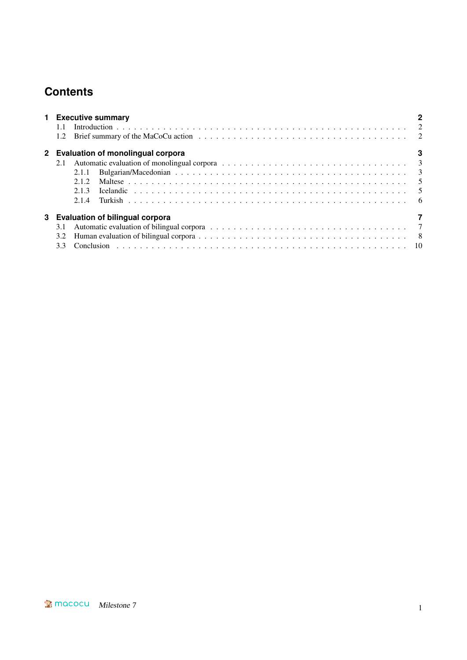# **Contents**

|     |       | 1 Executive summary                 |  |  |  |  |  |  |
|-----|-------|-------------------------------------|--|--|--|--|--|--|
|     |       | 2 Evaluation of monolingual corpora |  |  |  |  |  |  |
|     |       |                                     |  |  |  |  |  |  |
|     | 2.1.1 |                                     |  |  |  |  |  |  |
|     | 2.1.2 |                                     |  |  |  |  |  |  |
|     | 2.1.3 |                                     |  |  |  |  |  |  |
|     |       |                                     |  |  |  |  |  |  |
|     |       | 3 Evaluation of bilingual corpora   |  |  |  |  |  |  |
|     |       |                                     |  |  |  |  |  |  |
| 3.2 |       |                                     |  |  |  |  |  |  |
| 3.3 |       |                                     |  |  |  |  |  |  |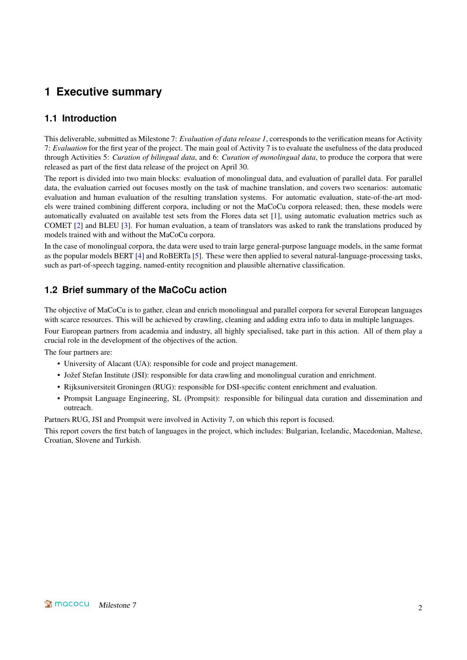# <span id="page-3-0"></span>**1 Executive summary**

## <span id="page-3-1"></span>**1.1 Introduction**

This deliverable, submitted as Milestone 7: *Evaluation of data release 1*, corresponds to the verification means for Activity 7: *Evaluation* for the first year of the project. The main goal of Activity 7 is to evaluate the usefulness of the data produced through Activities 5: *Curation of bilingual data*, and 6: *Curation of monolingual data*, to produce the corpora that were released as part of the first data release of the project on April 30.

The report is divided into two main blocks: evaluation of monolingual data, and evaluation of parallel data. For parallel data, the evaluation carried out focuses mostly on the task of machine translation, and covers two scenarios: automatic evaluation and human evaluation of the resulting translation systems. For automatic evaluation, state-of-the-art models were trained combining different corpora, including or not the MaCoCu corpora released; then, these models were automatically evaluated on available test sets from the Flores data set [\[1\]](#page-12-0), using automatic evaluation metrics such as COMET [\[2\]](#page-12-1) and BLEU [\[3\]](#page-12-2). For human evaluation, a team of translators was asked to rank the translations produced by models trained with and without the MaCoCu corpora.

In the case of monolingual corpora, the data were used to train large general-purpose language models, in the same format as the popular models BERT [\[4\]](#page-12-3) and RoBERTa [\[5\]](#page-12-4). These were then applied to several natural-language-processing tasks, such as part-of-speech tagging, named-entity recognition and plausible alternative classification.

# <span id="page-3-2"></span>**1.2 Brief summary of the MaCoCu action**

The objective of MaCoCu is to gather, clean and enrich monolingual and parallel corpora for several European languages with scarce resources. This will be achieved by crawling, cleaning and adding extra info to data in multiple languages.

Four European partners from academia and industry, all highly specialised, take part in this action. All of them play a crucial role in the development of the objectives of the action.

The four partners are:

- University of Alacant (UA): responsible for code and project management.
- Jožef Stefan Institute (JSI): responsible for data crawling and monolingual curation and enrichment.
- Rijksuniversiteit Groningen (RUG): responsible for DSI-specific content enrichment and evaluation.
- Prompsit Language Engineering, SL (Prompsit): responsible for bilingual data curation and dissemination and outreach.

Partners RUG, JSI and Prompsit were involved in Activity 7, on which this report is focused.

This report covers the first batch of languages in the project, which includes: Bulgarian, Icelandic, Macedonian, Maltese, Croatian, Slovene and Turkish.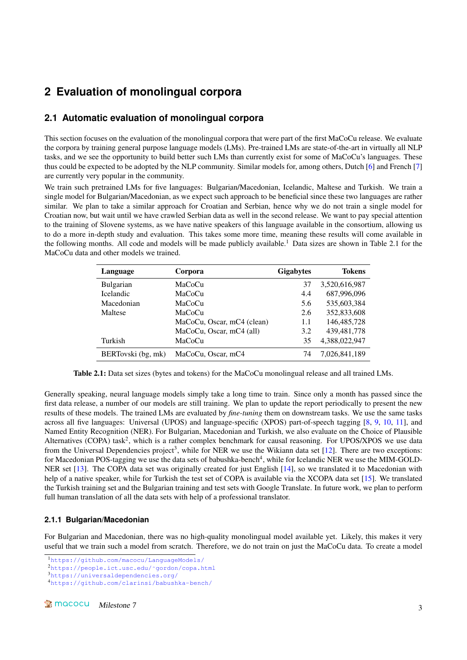# <span id="page-4-0"></span>**2 Evaluation of monolingual corpora**

## <span id="page-4-1"></span>**2.1 Automatic evaluation of monolingual corpora**

This section focuses on the evaluation of the monolingual corpora that were part of the first MaCoCu release. We evaluate the corpora by training general purpose language models (LMs). Pre-trained LMs are state-of-the-art in virtually all NLP tasks, and we see the opportunity to build better such LMs than currently exist for some of MaCoCu's languages. These thus could be expected to be adopted by the NLP community. Similar models for, among others, Dutch [\[6\]](#page-12-5) and French [\[7\]](#page-12-6) are currently very popular in the community.

We train such pretrained LMs for five languages: Bulgarian/Macedonian, Icelandic, Maltese and Turkish. We train a single model for Bulgarian/Macedonian, as we expect such approach to be beneficial since these two languages are rather similar. We plan to take a similar approach for Croatian and Serbian, hence why we do not train a single model for Croatian now, but wait until we have crawled Serbian data as well in the second release. We want to pay special attention to the training of Slovene systems, as we have native speakers of this language available in the consortium, allowing us to do a more in-depth study and evaluation. This takes some more time, meaning these results will come available in the following months. All code and models will be made publicly available.<sup>[1](#page-4-3)</sup> Data sizes are shown in Table [2.1](#page-4-4) for the MaCoCu data and other models we trained.

<span id="page-4-4"></span>

| Language           | Corpora                    | <b>Gigabytes</b> | <b>Tokens</b> |
|--------------------|----------------------------|------------------|---------------|
| <b>Bulgarian</b>   | MaCoCu                     | 37               | 3,520,616,987 |
| <b>Icelandic</b>   | MaCoCu                     | 4.4              | 687,996,096   |
| Macedonian         | MaCoCu                     | 5.6              | 535,603,384   |
| Maltese            | MaCoCu                     | 2.6              | 352,833,608   |
|                    | MaCoCu, Oscar, mC4 (clean) | 1.1              | 146, 485, 728 |
|                    | MaCoCu, Oscar, mC4 (all)   | 3.2              | 439, 481, 778 |
| Turkish            | MaCoCu                     | 35               | 4,388,022,947 |
| BERTovski (bg, mk) | MaCoCu, Oscar, mC4         | 74               | 7,026,841,189 |

Table 2.1: Data set sizes (bytes and tokens) for the MaCoCu monolingual release and all trained LMs.

Generally speaking, neural language models simply take a long time to train. Since only a month has passed since the first data release, a number of our models are still training. We plan to update the report periodically to present the new results of these models. The trained LMs are evaluated by *fine-tuning* them on downstream tasks. We use the same tasks across all five languages: Universal (UPOS) and language-specific (XPOS) part-of-speech tagging [\[8,](#page-12-7) [9,](#page-12-8) [10,](#page-12-9) [11\]](#page-12-10), and Named Entity Recognition (NER). For Bulgarian, Macedonian and Turkish, we also evaluate on the Choice of Plausible Alternatives (COPA) task<sup>[2](#page-4-5)</sup>, which is a rather complex benchmark for causal reasoning. For UPOS/XPOS we use data from the Universal Dependencies project<sup>[3](#page-4-6)</sup>, while for NER we use the Wikiann data set  $[12]$ . There are two exceptions: for Macedonian POS-tagging we use the data sets of babushka-bench $^4$  $^4$ , while for Icelandic NER we use the MIM-GOLD-NER set [\[13\]](#page-12-12). The COPA data set was originally created for just English [\[14\]](#page-12-13), so we translated it to Macedonian with help of a native speaker, while for Turkish the test set of COPA is available via the XCOPA data set [\[15\]](#page-12-14). We translated the Turkish training set and the Bulgarian training and test sets with Google Translate. In future work, we plan to perform full human translation of all the data sets with help of a professional translator.

#### <span id="page-4-2"></span>**2.1.1 Bulgarian/Macedonian**

For Bulgarian and Macedonian, there was no high-quality monolingual model available yet. Likely, this makes it very useful that we train such a model from scratch. Therefore, we do not train on just the MaCoCu data. To create a model

<span id="page-4-3"></span><sup>1</sup><https://github.com/macocu/LanguageModels/>

<span id="page-4-5"></span><sup>2</sup>[https://people.ict.usc.edu/˜gordon/copa.html](https://people.ict.usc.edu/~gordon/copa.html)

<span id="page-4-6"></span><sup>3</sup><https://universaldependencies.org/>

<span id="page-4-7"></span><sup>4</sup><https://github.com/clarinsi/babushka-bench/>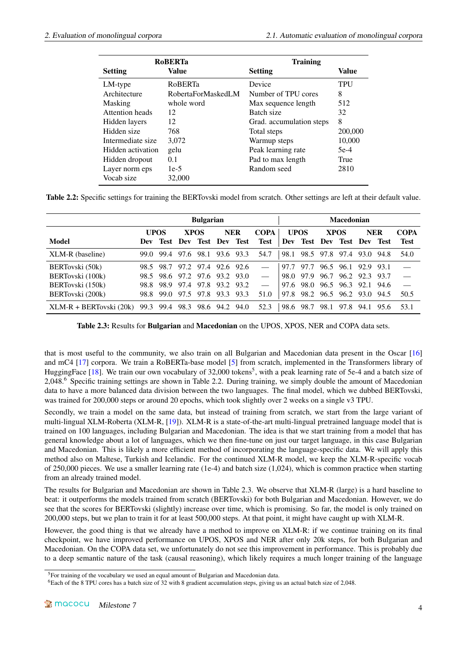<span id="page-5-2"></span>

|                   | <b>RoBERTa</b>     | <b>Training</b>          |              |
|-------------------|--------------------|--------------------------|--------------|
| <b>Setting</b>    | Value              | <b>Setting</b>           | <b>Value</b> |
| LM-type           | <b>RoBERTa</b>     | Device                   | TPU          |
| Architecture      | RobertaForMaskedLM | Number of TPU cores      | 8            |
| Masking           | whole word         | Max sequence length      | 512          |
| Attention heads   | 12                 | Batch size               | 32           |
| Hidden layers     | 12                 | Grad. accumulation steps | 8            |
| Hidden size       | 768                | Total steps              | 200,000      |
| Intermediate size | 3,072              | Warmup steps             | 10,000       |
| Hidden activation | gelu               | Peak learning rate       | $5e-4$       |
| Hidden dropout    | 0.1                | Pad to max length        | True         |
| Layer norm eps    | $1e-5$             | Random seed              | 2810         |
| Vocab size        | 32,000             |                          |              |

Table 2.2: Specific settings for training the BERTovski model from scratch. Other settings are left at their default value.

<span id="page-5-3"></span>

|                           | <b>Bulgarian</b> |           |                               |                      |                |            |      |                            |      |                | <b>Macedonian</b>          |            |      |             |  |  |  |
|---------------------------|------------------|-----------|-------------------------------|----------------------|----------------|------------|------|----------------------------|------|----------------|----------------------------|------------|------|-------------|--|--|--|
|                           | <b>UPOS</b>      |           |                               | <b>XPOS</b>          |                | <b>NER</b> |      | <b>COPA</b><br><b>UPOS</b> |      | <b>XPOS</b>    |                            | <b>NER</b> |      | <b>COPA</b> |  |  |  |
| Model                     | Dev              | Test      | Dev                           | <b>Test Dev Test</b> |                |            | Test |                            |      |                | Dev Test Dev Test Dev Test |            |      | <b>Test</b> |  |  |  |
| XLM-R (baseline)          | 99.0             | 99.4      | 97.6                          |                      | 98.1 93.6 93.3 |            | 54.7 | 98.1                       |      | 98.5 97.8 97.4 |                            | 93.0       | 94.8 | 54.0        |  |  |  |
| BERTovski (50k)           |                  | 98.5 98.7 | 97.2                          | 97.4 92.6 92.6       |                |            |      | 97.7                       | 97.7 |                | 96.5 96.1                  | 92.9 93.1  |      |             |  |  |  |
| BERTovski (100k)          |                  |           | 98.5 98.6 97.2 97.6 93.2 93.0 |                      |                |            |      | 98.0                       | 97.9 |                | 96.7 96.2                  | 92.3       | 93.7 |             |  |  |  |
| BERTovski (150k)          | 98.8             | 98.9      | 97.4                          | 97.8 93.2 93.2       |                |            |      | 97.6                       | 98.0 |                | 96.5 96.3                  | 92.1 94.6  |      | $\sim$      |  |  |  |
| BERTovski (200k)          | 98.8             | 99.0      | 97.5                          | 97.8                 | 93.3 93.3      |            | 51.0 | 97.8                       |      |                | 98.2 96.5 96.2 93.0        |            | 94.5 | 50.5        |  |  |  |
| $XLM-R + BERTovski (20k)$ |                  |           | 99.3 99.4 98.3 98.6 94.2 94.0 |                      |                |            | 52.3 | 98.6                       | 98.7 |                | 98.1 97.8                  | 94.1 95.6  |      | 53.1        |  |  |  |

Table 2.3: Results for Bulgarian and Macedonian on the UPOS, XPOS, NER and COPA data sets.

that is most useful to the community, we also train on all Bulgarian and Macedonian data present in the Oscar [\[16\]](#page-12-15) and mC4 [\[17\]](#page-13-0) corpora. We train a RoBERTa-base model [\[5\]](#page-12-4) from scratch, implemented in the Transformers library of HuggingFace [\[18\]](#page-13-1). We train our own vocabulary of 32,000 tokens<sup>[5](#page-5-0)</sup>, with a peak learning rate of 5e-4 and a batch size of 2,048.[6](#page-5-1) Specific training settings are shown in Table [2.2.](#page-5-2) During training, we simply double the amount of Macedonian data to have a more balanced data division between the two languages. The final model, which we dubbed BERTovski, was trained for 200,000 steps or around 20 epochs, which took slightly over 2 weeks on a single v3 TPU.

Secondly, we train a model on the same data, but instead of training from scratch, we start from the large variant of multi-lingual XLM-Roberta (XLM-R, [\[19\]](#page-13-2)). XLM-R is a state-of-the-art multi-lingual pretrained language model that is trained on 100 languages, including Bulgarian and Macedonian. The idea is that we start training from a model that has general knowledge about a lot of languages, which we then fine-tune on just our target language, in this case Bulgarian and Macedonian. This is likely a more efficient method of incorporating the language-specific data. We will apply this method also on Maltese, Turkish and Icelandic. For the continued XLM-R model, we keep the XLM-R-specific vocab of 250,000 pieces. We use a smaller learning rate  $(1e-4)$  and batch size  $(1,024)$ , which is common practice when starting from an already trained model.

The results for Bulgarian and Macedonian are shown in Table [2.3.](#page-5-3) We observe that XLM-R (large) is a hard baseline to beat: it outperforms the models trained from scratch (BERTovski) for both Bulgarian and Macedonian. However, we do see that the scores for BERTovski (slightly) increase over time, which is promising. So far, the model is only trained on 200,000 steps, but we plan to train it for at least 500,000 steps. At that point, it might have caught up with XLM-R.

However, the good thing is that we already have a method to improve on XLM-R: if we continue training on its final checkpoint, we have improved performance on UPOS, XPOS and NER after only 20k steps, for both Bulgarian and Macedonian. On the COPA data set, we unfortunately do not see this improvement in performance. This is probably due to a deep semantic nature of the task (causal reasoning), which likely requires a much longer training of the language

<span id="page-5-0"></span><sup>5</sup>For training of the vocabulary we used an equal amount of Bulgarian and Macedonian data.

<span id="page-5-1"></span><sup>6</sup>Each of the 8 TPU cores has a batch size of 32 with 8 gradient accumulation steps, giving us an actual batch size of 2,048.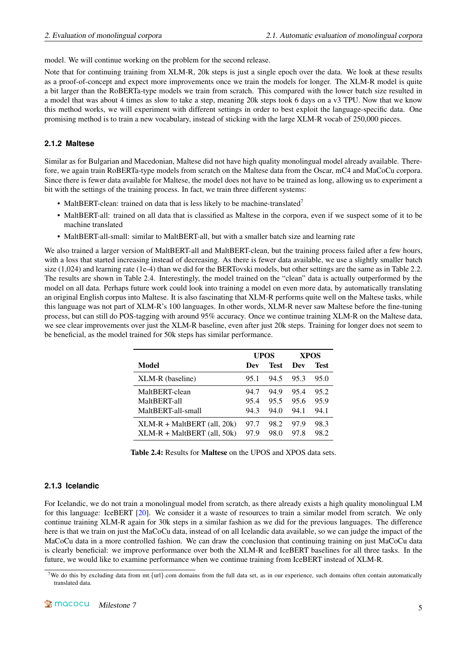model. We will continue working on the problem for the second release.

Note that for continuing training from XLM-R, 20k steps is just a single epoch over the data. We look at these results as a proof-of-concept and expect more improvements once we train the models for longer. The XLM-R model is quite a bit larger than the RoBERTa-type models we train from scratch. This compared with the lower batch size resulted in a model that was about 4 times as slow to take a step, meaning 20k steps took 6 days on a v3 TPU. Now that we know this method works, we will experiment with different settings in order to best exploit the language-specific data. One promising method is to train a new vocabulary, instead of sticking with the large XLM-R vocab of 250,000 pieces.

#### <span id="page-6-0"></span>**2.1.2 Maltese**

Similar as for Bulgarian and Macedonian, Maltese did not have high quality monolingual model already available. Therefore, we again train RoBERTa-type models from scratch on the Maltese data from the Oscar, mC4 and MaCoCu corpora. Since there is fewer data available for Maltese, the model does not have to be trained as long, allowing us to experiment a bit with the settings of the training process. In fact, we train three different systems:

- MaltBERT-clean: trained on data that is less likely to be machine-translated<sup>[7](#page-6-2)</sup>
- MaltBERT-all: trained on all data that is classified as Maltese in the corpora, even if we suspect some of it to be machine translated
- MaltBERT-all-small: similar to MaltBERT-all, but with a smaller batch size and learning rate

We also trained a larger version of MaltBERT-all and MaltBERT-clean, but the training process failed after a few hours, with a loss that started increasing instead of decreasing. As there is fewer data available, we use a slightly smaller batch size (1,024) and learning rate (1e-4) than we did for the BERTovski models, but other settings are the same as in Table [2.2.](#page-5-2) The results are shown in Table [2.4.](#page-6-3) Interestingly, the model trained on the "clean" data is actually outperformed by the model on all data. Perhaps future work could look into training a model on even more data, by automatically translating an original English corpus into Maltese. It is also fascinating that XLM-R performs quite well on the Maltese tasks, while this language was not part of XLM-R's 100 languages. In other words, XLM-R never saw Maltese before the fine-tuning process, but can still do POS-tagging with around 95% accuracy. Once we continue training XLM-R on the Maltese data, we see clear improvements over just the XLM-R baseline, even after just 20k steps. Training for longer does not seem to be beneficial, as the model trained for 50k steps has similar performance.

<span id="page-6-3"></span>

|                                   |      | UPOS | <b>XPOS</b> |      |
|-----------------------------------|------|------|-------------|------|
| Model                             | Dev  | Test | Dev         | Test |
| XLM-R (baseline)                  | 95.1 | 94.5 | 95.3        | 95.0 |
| MaltBERT-clean                    | 94.7 | 94.9 | 95.4        | 95.2 |
| MaltBERT-all                      | 95.4 | 95.5 | 95.6        | 95.9 |
| MaltBERT-all-small                | 94.3 | 94.0 | 94.1        | 94.1 |
| $XLM-R + MaltBERT$ (all, 20 $k$ ) | 97.7 | 98.2 | 97.9        | 98.3 |
| $XLM-R + MaltBERT$ (all, 50k)     | 97.9 | 98.0 | 97.8        | 98.2 |

Table 2.4: Results for Maltese on the UPOS and XPOS data sets.

#### <span id="page-6-1"></span>**2.1.3 Icelandic**

For Icelandic, we do not train a monolingual model from scratch, as there already exists a high quality monolingual LM for this language: IceBERT [\[20\]](#page-13-3). We consider it a waste of resources to train a similar model from scratch. We only continue training XLM-R again for 30k steps in a similar fashion as we did for the previous languages. The difference here is that we train on just the MaCoCu data, instead of on all Icelandic data available, so we can judge the impact of the MaCoCu data in a more controlled fashion. We can draw the conclusion that continuing training on just MaCoCu data is clearly beneficial: we improve performance over both the XLM-R and IceBERT baselines for all three tasks. In the future, we would like to examine performance when we continue training from IceBERT instead of XLM-R.

<span id="page-6-2"></span><sup>&</sup>lt;sup>7</sup>We do this by excluding data from mt. {url}.com domains from the full data set, as in our experience, such domains often contain automatically translated data.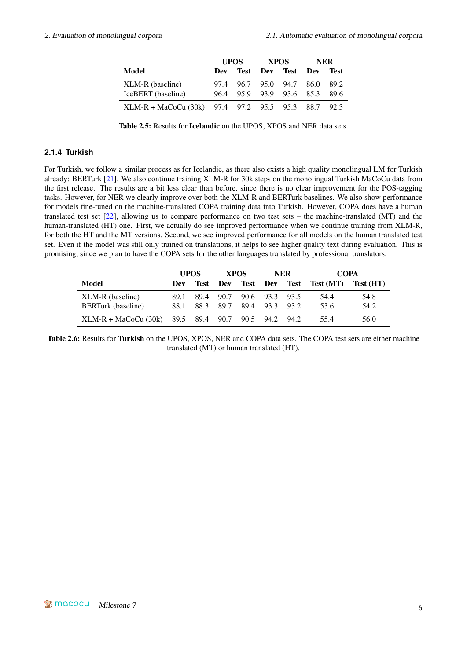|                                               |      | <b>UPOS</b> |                | <b>XPOS</b> | NER   |       |  |
|-----------------------------------------------|------|-------------|----------------|-------------|-------|-------|--|
| Model                                         | Dev  |             | Test Dev Test  |             | - Dev | 'Test |  |
| XLM-R (baseline)                              | 97.4 |             | 96.7 95.0 94.7 |             | 86.0  | 89.2  |  |
| IceBERT (baseline)                            | 96.4 |             | 95.9 93.9 93.6 |             | 85.3  | 89.6  |  |
| XLM-R + MaCoCu (30k) 97.4 97.2 95.5 95.3 88.7 |      |             |                |             |       | 92.3  |  |

Table 2.5: Results for Icelandic on the UPOS, XPOS and NER data sets.

#### <span id="page-7-0"></span>**2.1.4 Turkish**

For Turkish, we follow a similar process as for Icelandic, as there also exists a high quality monolingual LM for Turkish already: BERTurk [\[21\]](#page-13-4). We also continue training XLM-R for 30k steps on the monolingual Turkish MaCoCu data from the first release. The results are a bit less clear than before, since there is no clear improvement for the POS-tagging tasks. However, for NER we clearly improve over both the XLM-R and BERTurk baselines. We also show performance for models fine-tuned on the machine-translated COPA training data into Turkish. However, COPA does have a human translated test set [\[22\]](#page-13-5), allowing us to compare performance on two test sets – the machine-translated (MT) and the human-translated (HT) one. First, we actually do see improved performance when we continue training from XLM-R, for both the HT and the MT versions. Second, we see improved performance for all models on the human translated test set. Even if the model was still only trained on translations, it helps to see higher quality text during evaluation. This is promising, since we plan to have the COPA sets for the other languages translated by professional translators.

|                                       | <b>UPOS</b> |      |      | <b>XPOS</b> |                | <b>NER</b> | <b>COPA</b>        |           |
|---------------------------------------|-------------|------|------|-------------|----------------|------------|--------------------|-----------|
| Model                                 | Dev         | Test | Dev  | Test        |                |            | Dev Test Test (MT) | Test (HT) |
| XLM-R (baseline)                      | 89.1        | 89.4 | 90.7 |             | 90.6 93.3 93.5 |            | 54.4               | 54.8      |
| <b>BERTurk</b> (baseline)             | 88.1        | 88.3 | 89.7 | 89.4        | 93.3           | 93.2       | 53.6               | 54.2      |
| $XLM-R + MaCoCu (30k)$ 89.5 89.4 90.7 |             |      |      | 90.5        | 94.2 94.2      |            | 55.4               | 56.0      |

Table 2.6: Results for Turkish on the UPOS, XPOS, NER and COPA data sets. The COPA test sets are either machine translated (MT) or human translated (HT).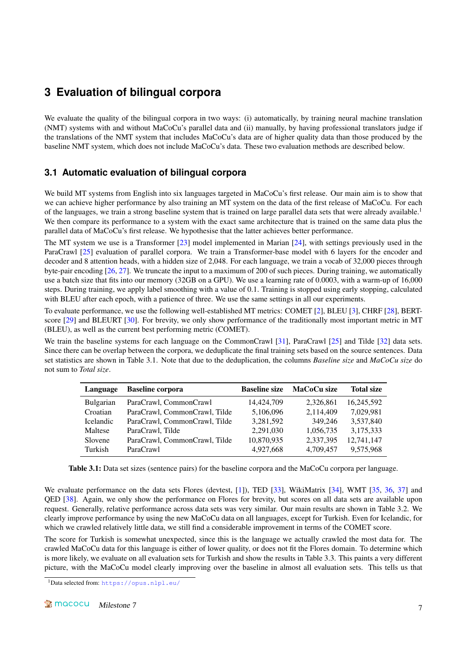# <span id="page-8-0"></span>**3 Evaluation of bilingual corpora**

We evaluate the quality of the bilingual corpora in two ways: (i) automatically, by training neural machine translation (NMT) systems with and without MaCoCu's parallel data and (ii) manually, by having professional translators judge if the translations of the NMT system that includes MaCoCu's data are of higher quality data than those produced by the baseline NMT system, which does not include MaCoCu's data. These two evaluation methods are described below.

### <span id="page-8-1"></span>**3.1 Automatic evaluation of bilingual corpora**

We build MT systems from English into six languages targeted in MaCoCu's first release. Our main aim is to show that we can achieve higher performance by also training an MT system on the data of the first release of MaCoCu. For each of the languages, we train a strong baseline system that is trained on large parallel data sets that were already available.<sup>[1](#page-8-2)</sup> We then compare its performance to a system with the exact same architecture that is trained on the same data plus the parallel data of MaCoCu's first release. We hypothesise that the latter achieves better performance.

The MT system we use is a Transformer  $[23]$  model implemented in Marian  $[24]$ , with settings previously used in the ParaCrawl [\[25\]](#page-13-8) evaluation of parallel corpora. We train a Transformer-base model with 6 layers for the encoder and decoder and 8 attention heads, with a hidden size of 2,048. For each language, we train a vocab of 32,000 pieces through byte-pair encoding [\[26,](#page-13-9) [27\]](#page-13-10). We truncate the input to a maximum of 200 of such pieces. During training, we automatically use a batch size that fits into our memory (32GB on a GPU). We use a learning rate of 0.0003, with a warm-up of 16,000 steps. During training, we apply label smoothing with a value of 0.1. Training is stopped using early stopping, calculated with BLEU after each epoch, with a patience of three. We use the same settings in all our experiments.

To evaluate performance, we use the following well-established MT metrics: COMET [\[2\]](#page-12-1), BLEU [\[3\]](#page-12-2), CHRF [\[28\]](#page-13-11), BERTscore [\[29\]](#page-13-12) and BLEURT [\[30\]](#page-13-13). For brevity, we only show performance of the traditionally most important metric in MT (BLEU), as well as the current best performing metric (COMET).

We train the baseline systems for each language on the CommonCrawl [\[31\]](#page-13-14), ParaCrawl [\[25\]](#page-13-8) and Tilde [\[32\]](#page-14-1) data sets. Since there can be overlap between the corpora, we deduplicate the final training sets based on the source sentences. Data set statistics are shown in Table [3.1.](#page-8-3) Note that due to the deduplication, the columns *Baseline size* and *MaCoCu size* do not sum to *Total size*.

<span id="page-8-3"></span>

| Language         | <b>Baseline</b> corpora       | <b>Baseline size</b> | MaCoCu size | <b>Total size</b> |
|------------------|-------------------------------|----------------------|-------------|-------------------|
| <b>Bulgarian</b> | ParaCrawl, CommonCrawl        | 14,424,709           | 2,326,861   | 16,245,592        |
| Croatian         | ParaCrawl, CommonCrawl, Tilde | 5,106,096            | 2,114,409   | 7,029,981         |
| <b>Icelandic</b> | ParaCrawl, CommonCrawl, Tilde | 3,281,592            | 349,246     | 3,537,840         |
| Maltese          | ParaCrawl, Tilde              | 2,291,030            | 1,056,735   | 3,175,333         |
| Slovene          | ParaCrawl, CommonCrawl, Tilde | 10,870,935           | 2,337,395   | 12,741,147        |
| Turkish          | ParaCrawl                     | 4,927,668            | 4,709,457   | 9,575,968         |

Table 3.1: Data set sizes (sentence pairs) for the baseline corpora and the MaCoCu corpora per language.

We evaluate performance on the data sets Flores (devtest, [\[1\]](#page-12-0)), TED [\[33\]](#page-14-2), WikiMatrix [\[34\]](#page-14-3), WMT [\[35,](#page-14-4) [36,](#page-14-5) [37\]](#page-14-6) and QED [\[38\]](#page-14-7). Again, we only show the performance on Flores for brevity, but scores on all data sets are available upon request. Generally, relative performance across data sets was very similar. Our main results are shown in Table [3.2.](#page-9-1) We clearly improve performance by using the new MaCoCu data on all languages, except for Turkish. Even for Icelandic, for which we crawled relatively little data, we still find a considerable improvement in terms of the COMET score.

The score for Turkish is somewhat unexpected, since this is the language we actually crawled the most data for. The crawled MaCoCu data for this language is either of lower quality, or does not fit the Flores domain. To determine which is more likely, we evaluate on all evaluation sets for Turkish and show the results in Table [3.3.](#page-9-2) This paints a very different picture, with the MaCoCu model clearly improving over the baseline in almost all evaluation sets. This tells us that

<span id="page-8-2"></span><sup>1</sup>Data selected from: <https://opus.nlpl.eu/>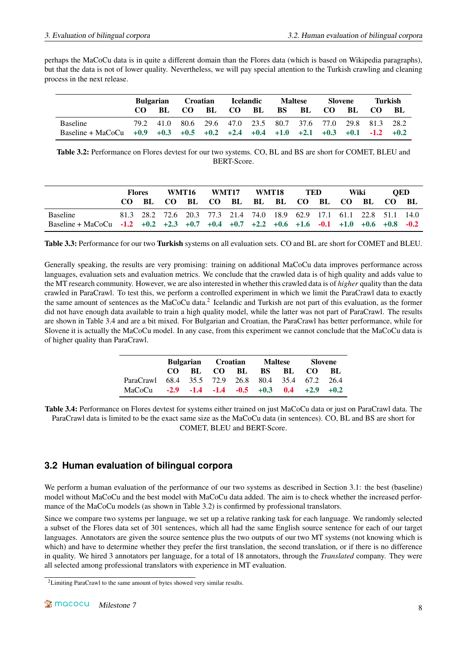perhaps the MaCoCu data is in quite a different domain than the Flores data (which is based on Wikipedia paragraphs), but that the data is not of lower quality. Nevertheless, we will pay special attention to the Turkish crawling and cleaning process in the next release.

<span id="page-9-1"></span>

|                     | <b>Bulgarian</b> |           |     | Croatian |                                                   | <b>Icelandic</b> |           | <b>Maltese</b> |    | <b>Slovene</b> |        | Turkish |  |
|---------------------|------------------|-----------|-----|----------|---------------------------------------------------|------------------|-----------|----------------|----|----------------|--------|---------|--|
|                     |                  | BL.       | CO. | BL       | CO.                                               | BL.              | <b>BS</b> | BL             | CO | -BL            | CO.    | - BL    |  |
| <b>Baseline</b>     |                  | 79.2 41.0 |     |          | 80.6 29.6 47.0 23.5 80.7 37.6 77.0 29.8 81.3 28.2 |                  |           |                |    |                |        |         |  |
| $Baseline + Macocu$ | $+0.9$           | $+0.3$    |     |          | $+0.5$ $+0.2$ $+2.4$ $+0.4$ $+1.0$ $+2.1$ $+0.3$  |                  |           |                |    | $+0.1$         | $-1.2$ | $+0.2$  |  |

Table 3.2: Performance on Flores devtest for our two systems. CO, BL and BS are short for COMET, BLEU and BERT-Score.

<span id="page-9-2"></span>

|                                                                                         | Flores |  | WMT16 |  | WMT17 |  | WMT18 |  | <b>TED</b> |  | Wiki                                                                  |  | <b>OED</b> |  |
|-----------------------------------------------------------------------------------------|--------|--|-------|--|-------|--|-------|--|------------|--|-----------------------------------------------------------------------|--|------------|--|
|                                                                                         |        |  |       |  |       |  |       |  |            |  | CO BL CO BL CO BL BL BL CO BL CO BL CO BL                             |  |            |  |
| <b>Baseline</b>                                                                         |        |  |       |  |       |  |       |  |            |  | 81.3 28.2 72.6 20.3 77.3 21.4 74.0 18.9 62.9 17.1 61.1 22.8 51.1 14.0 |  |            |  |
| Baseline + MaCoCu -1.2 +0.2 +2.3 +0.7 +0.4 +0.7 +2.2 +0.6 +1.6 -0.1 +1.0 +0.6 +0.8 -0.2 |        |  |       |  |       |  |       |  |            |  |                                                                       |  |            |  |

Table 3.3: Performance for our two Turkish systems on all evaluation sets. CO and BL are short for COMET and BLEU.

Generally speaking, the results are very promising: training on additional MaCoCu data improves performance across languages, evaluation sets and evaluation metrics. We conclude that the crawled data is of high quality and adds value to the MT research community. However, we are also interested in whether this crawled data is of *higher* quality than the data crawled in ParaCrawl. To test this, we perform a controlled experiment in which we limit the ParaCrawl data to exactly the same amount of sentences as the MaCoCu data.<sup>[2](#page-9-3)</sup> Icelandic and Turkish are not part of this evaluation, as the former did not have enough data available to train a high quality model, while the latter was not part of ParaCrawl. The results are shown in Table [3.4](#page-9-4) and are a bit mixed. For Bulgarian and Croatian, the ParaCrawl has better performance, while for Slovene it is actually the MaCoCu model. In any case, from this experiment we cannot conclude that the MaCoCu data is of higher quality than ParaCrawl.

|                                                   |  |  | Bulgarian Croatian Maltese |  |  |  | Slovene                 |  |
|---------------------------------------------------|--|--|----------------------------|--|--|--|-------------------------|--|
|                                                   |  |  |                            |  |  |  | CO BL CO BL BS BL CO BL |  |
| ParaCrawl 68.4 35.5 72.9 26.8 80.4 35.4 67.2 26.4 |  |  |                            |  |  |  |                         |  |
| MaCoCu -2.9 -1.4 -1.4 -0.5 +0.3 0.4 +2.9 +0.2     |  |  |                            |  |  |  |                         |  |

<span id="page-9-4"></span>Table 3.4: Performance on Flores devtest for systems either trained on just MaCoCu data or just on ParaCrawl data. The ParaCrawl data is limited to be the exact same size as the MaCoCu data (in sentences). CO, BL and BS are short for COMET, BLEU and BERT-Score.

# <span id="page-9-0"></span>**3.2 Human evaluation of bilingual corpora**

We perform a human evaluation of the performance of our two systems as described in Section [3.1:](#page-8-1) the best (baseline) model without MaCoCu and the best model with MaCoCu data added. The aim is to check whether the increased performance of the MaCoCu models (as shown in Table [3.2\)](#page-9-1) is confirmed by professional translators.

Since we compare two systems per language, we set up a relative ranking task for each language. We randomly selected a subset of the Flores data set of 301 sentences, which all had the same English source sentence for each of our target languages. Annotators are given the source sentence plus the two outputs of our two MT systems (not knowing which is which) and have to determine whether they prefer the first translation, the second translation, or if there is no difference in quality. We hired 3 annotators per language, for a total of 18 annotators, through the *Translated* company. They were all selected among professional translators with experience in MT evaluation.

<span id="page-9-3"></span><sup>&</sup>lt;sup>2</sup>Limiting ParaCrawl to the same amount of bytes showed very similar results.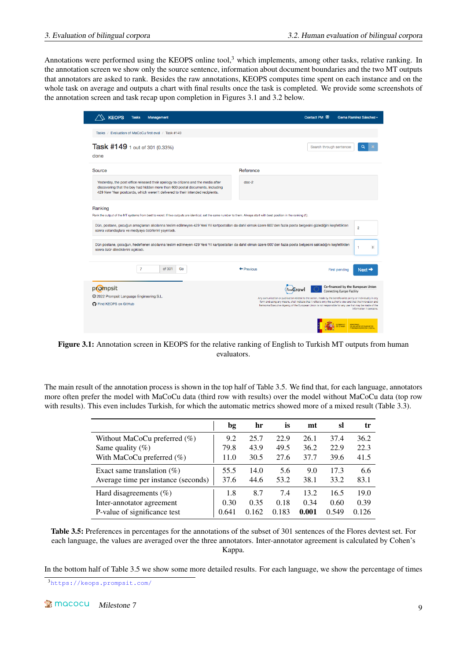Annotations were performed using the KEOPS online tool,<sup>[3](#page-10-0)</sup> which implements, among other tasks, relative ranking. In the annotation screen we show only the source sentence, information about document boundaries and the two MT outputs that annotators are asked to rank. Besides the raw annotations, KEOPS computes time spent on each instance and on the whole task on average and outputs a chart with final results once the task is completed. We provide some screenshots of the annotation screen and task recap upon completion in Figures [3.1](#page-10-1) and [3.2](#page-11-1) below.

<span id="page-10-1"></span>

| <b>KEOPS</b>                                                               | <b>Tasks</b> | Management                                          |                                                                                                                                                                                                                                                     |                                                                                                                                                                                                                                                                                                                                              | Contact PM                                                                                                                                                                                                                                                                                                                                                            | Gema Ramírez Sánchez -                                                 |
|----------------------------------------------------------------------------|--------------|-----------------------------------------------------|-----------------------------------------------------------------------------------------------------------------------------------------------------------------------------------------------------------------------------------------------------|----------------------------------------------------------------------------------------------------------------------------------------------------------------------------------------------------------------------------------------------------------------------------------------------------------------------------------------------|-----------------------------------------------------------------------------------------------------------------------------------------------------------------------------------------------------------------------------------------------------------------------------------------------------------------------------------------------------------------------|------------------------------------------------------------------------|
|                                                                            |              | Tasks / Evaluation of MaCoCu first eval / Task #149 |                                                                                                                                                                                                                                                     |                                                                                                                                                                                                                                                                                                                                              |                                                                                                                                                                                                                                                                                                                                                                       |                                                                        |
| Task #149 1 out of 301 (0.33%)<br>done                                     |              |                                                     |                                                                                                                                                                                                                                                     |                                                                                                                                                                                                                                                                                                                                              | Search through sentences                                                                                                                                                                                                                                                                                                                                              | Q                                                                      |
| Source                                                                     |              |                                                     |                                                                                                                                                                                                                                                     | Reference                                                                                                                                                                                                                                                                                                                                    |                                                                                                                                                                                                                                                                                                                                                                       |                                                                        |
|                                                                            |              |                                                     | Yesterday, the post office released their apology to citizens and the media after<br>discovering that the boy had hidden more than 600 postal documents, including<br>429 New Year postcards, which weren't delivered to their intended recipients. | $doc-2$                                                                                                                                                                                                                                                                                                                                      |                                                                                                                                                                                                                                                                                                                                                                       |                                                                        |
| Ranking<br>sonra vatandaşlara ve medyaya özürlerini yayınladı.             |              |                                                     |                                                                                                                                                                                                                                                     | Rank the output of the MT systems from best to worst. If two outputs are identical, set the same number to them. Always start with best position in the ranking (1).<br>Dün, postane, çocuğun amaçlanan alıcılarına teslim edilmeyen 429 Yeni Yıl kartpostalları da dahil olmak üzere 600'den fazla posta belgesini gizlediğini keşfettikten |                                                                                                                                                                                                                                                                                                                                                                       | $\overline{2}$                                                         |
| sonra özür dilediklerini acıkladı.                                         |              |                                                     |                                                                                                                                                                                                                                                     | Dün postane, çocuğun, hedeflenen alıcılarına teslim edilmeyen 429 Yeni Yıl kartpostalları da dahil olmak üzere 600'den fazla posta belgesini sakladığını keşfettikten                                                                                                                                                                        |                                                                                                                                                                                                                                                                                                                                                                       | 1<br>$\div$                                                            |
|                                                                            | 7            | of 301<br>Go                                        |                                                                                                                                                                                                                                                     | $\leftarrow$ Previous                                                                                                                                                                                                                                                                                                                        |                                                                                                                                                                                                                                                                                                                                                                       | First pending<br>$Next \rightarrow$                                    |
| prompsit                                                                   |              |                                                     |                                                                                                                                                                                                                                                     | PasaCraw                                                                                                                                                                                                                                                                                                                                     |                                                                                                                                                                                                                                                                                                                                                                       | Co-financed by the European Union<br><b>Connecting Europe Facility</b> |
| © 2022 Prompsit Language Engineering S.L.<br><b>O</b> Find KEOPS on GitHub |              |                                                     |                                                                                                                                                                                                                                                     |                                                                                                                                                                                                                                                                                                                                              | Any comunication or publication related to the action, made by the beneficiaries jointly or individually in any<br>form and using any means, shall indicate that it reflects only the author's view and that the Innovation and<br>Networks Executive Agency of the European Union is not responsible for any use that may be made of the<br>information it contains. |                                                                        |
|                                                                            |              |                                                     |                                                                                                                                                                                                                                                     |                                                                                                                                                                                                                                                                                                                                              |                                                                                                                                                                                                                                                                                                                                                                       | DE ASUNTOS ECONÓMICOS<br><b>TRANSFORMACIÓN DIGITA</b>                  |

Figure 3.1: Annotation screen in KEOPS for the relative ranking of English to Turkish MT outputs from human evaluators.

<span id="page-10-2"></span>The main result of the annotation process is shown in the top half of Table [3.5.](#page-10-2) We find that, for each language, annotators more often prefer the model with MaCoCu data (third row with results) over the model without MaCoCu data (top row with results). This even includes Turkish, for which the automatic metrics showed more of a mixed result (Table [3.3\)](#page-9-2).

|                                     | bg    | hr    | İS    | mt    | sl    | tr    |
|-------------------------------------|-------|-------|-------|-------|-------|-------|
| Without MaCoCu preferred $(\%)$     | 9.2   | 25.7  | 22.9  | 26.1  | 37.4  | 36.2  |
| Same quality $(\% )$                | 79.8  | 43.9  | 49.5  | 36.2  | 22.9  | 22.3  |
| With MaCoCu preferred $(\%)$        | 11.0  | 30.5  | 27.6  | 37.7  | 39.6  | 41.5  |
| Exact same translation $(\%)$       | 55.5  | 14.0  | 5.6   | 9.0   | 17.3  | 6.6   |
| Average time per instance (seconds) | 37.6  | 44.6  | 53.2  | 38.1  | 33.2  | 83.1  |
| Hard disagreements $(\%)$           | 1.8   | 8.7   | 7.4   | 13.2  | 16.5  | 19.0  |
| Inter-annotator agreement           | 0.30  | 0.35  | 0.18  | 0.34  | 0.60  | 0.39  |
| P-value of significance test        | 0.641 | 0.162 | 0.183 | 0.001 | 0.549 | 0.126 |

Table 3.5: Preferences in percentages for the annotations of the subset of 301 sentences of the Flores devtest set. For each language, the values are averaged over the three annotators. Inter-annotator agreement is calculated by Cohen's Kappa.

In the bottom half of Table [3.5](#page-10-2) we show some more detailed results. For each language, we show the percentage of times

<span id="page-10-0"></span><sup>3</sup><https://keops.prompsit.com/>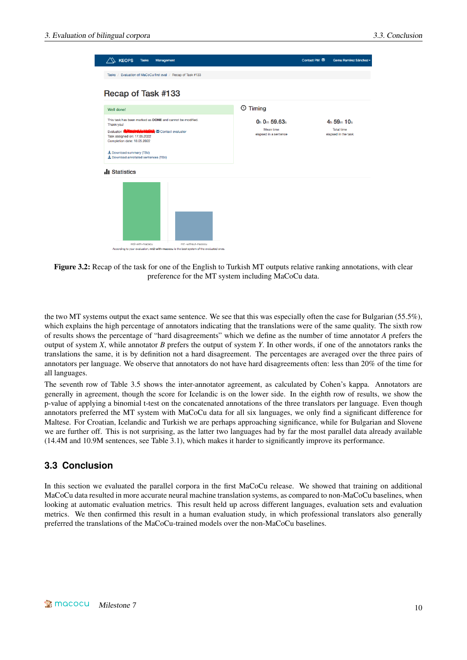<span id="page-11-1"></span>

| <b>KEOPS</b><br><b>Tasks</b><br>Management                                                                                                                |                                    | Contact PM M<br>Gema Ramírez Sánchez     |
|-----------------------------------------------------------------------------------------------------------------------------------------------------------|------------------------------------|------------------------------------------|
| Tasks / Evaluation of MaCoCu first eval / Recap of Task #133                                                                                              |                                    |                                          |
| Recap of Task #133                                                                                                                                        |                                    |                                          |
| Well done!                                                                                                                                                | $\odot$ Timing                     |                                          |
| This task has been marked as DONE and cannot be modified.<br>Thank you!                                                                                   | $0h 0m 59.63s$                     | $4h\,59m\,10s$                           |
| Evaluator: Notable of the Materials of Contact evaluator<br>Task assigned on: 17.05.2022<br>Completion date: 18.05.2022                                   | Mean time<br>elapsed in a sentence | <b>Total time</b><br>elapsed in the task |
| 上 Download summary (TSV)<br>L Download annotated sentences (TSV)                                                                                          |                                    |                                          |
| <b>Il</b> Statistics                                                                                                                                      |                                    |                                          |
|                                                                                                                                                           |                                    |                                          |
|                                                                                                                                                           |                                    |                                          |
|                                                                                                                                                           |                                    |                                          |
|                                                                                                                                                           |                                    |                                          |
|                                                                                                                                                           |                                    |                                          |
| mt2-with-macocu<br>mt1-without-macocu<br>A consideration of construction come collection consideration for a consideration of the construction of collect |                                    |                                          |

Figure 3.2: Recap of the task for one of the English to Turkish MT outputs relative ranking annotations, with clear preference for the MT system including MaCoCu data.

the two MT systems output the exact same sentence. We see that this was especially often the case for Bulgarian (55.5%), which explains the high percentage of annotators indicating that the translations were of the same quality. The sixth row of results shows the percentage of "hard disagreements" which we define as the number of time annotator *A* prefers the output of system *X*, while annotator *B* prefers the output of system *Y*. In other words, if one of the annotators ranks the translations the same, it is by definition not a hard disagreement. The percentages are averaged over the three pairs of annotators per language. We observe that annotators do not have hard disagreements often: less than 20% of the time for all languages.

The seventh row of Table [3.5](#page-10-2) shows the inter-annotator agreement, as calculated by Cohen's kappa. Annotators are generally in agreement, though the score for Icelandic is on the lower side. In the eighth row of results, we show the p-value of applying a binomial t-test on the concatenated annotations of the three translators per language. Even though annotators preferred the MT system with MaCoCu data for all six languages, we only find a significant difference for Maltese. For Croatian, Icelandic and Turkish we are perhaps approaching significance, while for Bulgarian and Slovene we are further off. This is not surprising, as the latter two languages had by far the most parallel data already available (14.4M and 10.9M sentences, see Table [3.1\)](#page-8-3), which makes it harder to significantly improve its performance.

### <span id="page-11-0"></span>**3.3 Conclusion**

In this section we evaluated the parallel corpora in the first MaCoCu release. We showed that training on additional MaCoCu data resulted in more accurate neural machine translation systems, as compared to non-MaCoCu baselines, when looking at automatic evaluation metrics. This result held up across different languages, evaluation sets and evaluation metrics. We then confirmed this result in a human evaluation study, in which professional translators also generally preferred the translations of the MaCoCu-trained models over the non-MaCoCu baselines.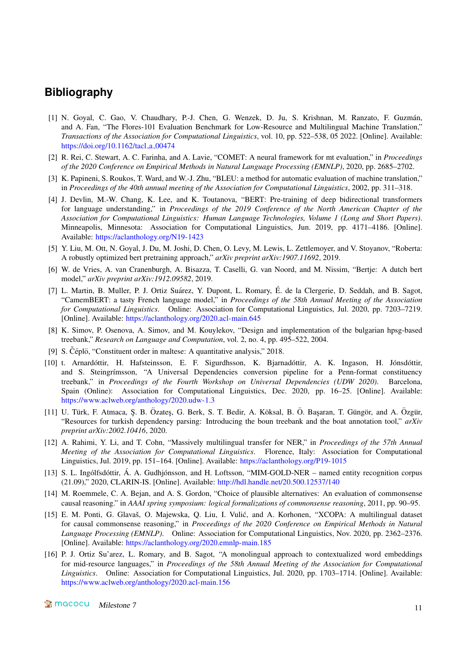# **Bibliography**

- <span id="page-12-0"></span>[1] N. Goyal, C. Gao, V. Chaudhary, P.-J. Chen, G. Wenzek, D. Ju, S. Krishnan, M. Ranzato, F. Guzmán, and A. Fan, "The Flores-101 Evaluation Benchmark for Low-Resource and Multilingual Machine Translation," *Transactions of the Association for Computational Linguistics*, vol. 10, pp. 522–538, 05 2022. [Online]. Available: [https://doi.org/10.1162/tacl](https://doi.org/10.1162/tacl_a_00474)\_a\_00474
- <span id="page-12-1"></span>[2] R. Rei, C. Stewart, A. C. Farinha, and A. Lavie, "COMET: A neural framework for mt evaluation," in *Proceedings of the 2020 Conference on Empirical Methods in Natural Language Processing (EMNLP)*, 2020, pp. 2685–2702.
- <span id="page-12-2"></span>[3] K. Papineni, S. Roukos, T. Ward, and W.-J. Zhu, "BLEU: a method for automatic evaluation of machine translation," in *Proceedings of the 40th annual meeting of the Association for Computational Linguistics*, 2002, pp. 311–318.
- <span id="page-12-3"></span>[4] J. Devlin, M.-W. Chang, K. Lee, and K. Toutanova, "BERT: Pre-training of deep bidirectional transformers for language understanding," in *Proceedings of the 2019 Conference of the North American Chapter of the Association for Computational Linguistics: Human Language Technologies, Volume 1 (Long and Short Papers)*. Minneapolis, Minnesota: Association for Computational Linguistics, Jun. 2019, pp. 4171–4186. [Online]. Available: <https://aclanthology.org/N19-1423>
- <span id="page-12-4"></span>[5] Y. Liu, M. Ott, N. Goyal, J. Du, M. Joshi, D. Chen, O. Levy, M. Lewis, L. Zettlemoyer, and V. Stoyanov, "Roberta: A robustly optimized bert pretraining approach," *arXiv preprint arXiv:1907.11692*, 2019.
- <span id="page-12-5"></span>[6] W. de Vries, A. van Cranenburgh, A. Bisazza, T. Caselli, G. van Noord, and M. Nissim, "Bertje: A dutch bert model," *arXiv preprint arXiv:1912.09582*, 2019.
- <span id="page-12-6"></span>[7] L. Martin, B. Muller, P. J. Ortiz Suárez, Y. Dupont, L. Romary, É. de la Clergerie, D. Seddah, and B. Sagot, "CamemBERT: a tasty French language model," in *Proceedings of the 58th Annual Meeting of the Association for Computational Linguistics*. Online: Association for Computational Linguistics, Jul. 2020, pp. 7203–7219. [Online]. Available: <https://aclanthology.org/2020.acl-main.645>
- <span id="page-12-7"></span>[8] K. Simov, P. Osenova, A. Simov, and M. Kouylekov, "Design and implementation of the bulgarian hpsg-based treebank," *Research on Language and Computation*, vol. 2, no. 4, pp. 495–522, 2004.
- <span id="page-12-8"></span>[9] S. Čéplö, "Constituent order in maltese: A quantitative analysis," 2018.
- <span id="page-12-9"></span>[10] t. Arnardóttir, H. Hafsteinsson, E. F. Sigurdhsson, K. Bjarnadóttir, A. K. Ingason, H. Jónsdóttir, and S. Steingrímsson, "A Universal Dependencies conversion pipeline for a Penn-format constituency treebank," in *Proceedings of the Fourth Workshop on Universal Dependencies (UDW 2020)*. Barcelona, Spain (Online): Association for Computational Linguistics, Dec. 2020, pp. 16–25. [Online]. Available: <https://www.aclweb.org/anthology/2020.udw-1.3>
- <span id="page-12-10"></span>[11] U. Türk, F. Atmaca, S. B. Özates, G. Berk, S. T. Bedir, A. Köksal, B. Ö. Basaran, T. Güngör, and A. Özgür, "Resources for turkish dependency parsing: Introducing the boun treebank and the boat annotation tool," *arXiv preprint arXiv:2002.10416*, 2020.
- <span id="page-12-11"></span>[12] A. Rahimi, Y. Li, and T. Cohn, "Massively multilingual transfer for NER," in *Proceedings of the 57th Annual Meeting of the Association for Computational Linguistics*. Florence, Italy: Association for Computational Linguistics, Jul. 2019, pp. 151–164. [Online]. Available: <https://aclanthology.org/P19-1015>
- <span id="page-12-12"></span> $[13]$  S. L. Ingólfsdóttir, Á. A. Gudhjónsson, and H. Loftsson, "MIM-GOLD-NER – named entity recognition corpus (21.09)," 2020, CLARIN-IS. [Online]. Available: <http://hdl.handle.net/20.500.12537/140>
- <span id="page-12-13"></span>[14] M. Roemmele, C. A. Bejan, and A. S. Gordon, "Choice of plausible alternatives: An evaluation of commonsense causal reasoning." in *AAAI spring symposium: logical formalizations of commonsense reasoning*, 2011, pp. 90–95.
- <span id="page-12-14"></span>[15] E. M. Ponti, G. Glavaš, O. Majewska, Q. Liu, I. Vulić, and A. Korhonen, "XCOPA: A multilingual dataset for causal commonsense reasoning," in *Proceedings of the 2020 Conference on Empirical Methods in Natural Language Processing (EMNLP)*. Online: Association for Computational Linguistics, Nov. 2020, pp. 2362–2376. [Online]. Available: <https://aclanthology.org/2020.emnlp-main.185>
- <span id="page-12-15"></span>[16] P. J. Ortiz Su'arez, L. Romary, and B. Sagot, "A monolingual approach to contextualized word embeddings for mid-resource languages," in *Proceedings of the 58th Annual Meeting of the Association for Computational Linguistics*. Online: Association for Computational Linguistics, Jul. 2020, pp. 1703–1714. [Online]. Available: <https://www.aclweb.org/anthology/2020.acl-main.156>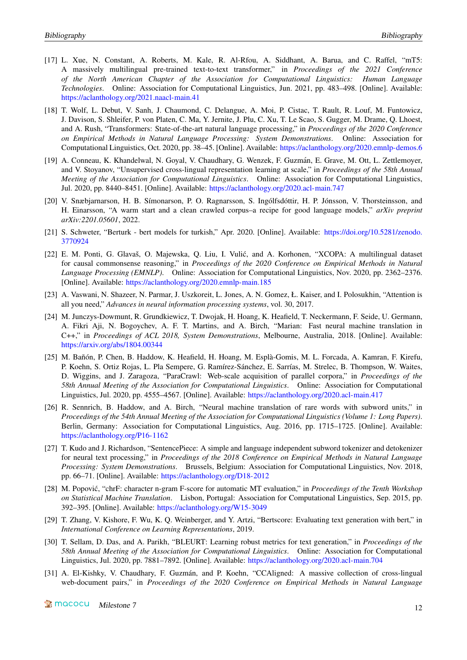- <span id="page-13-0"></span>[17] L. Xue, N. Constant, A. Roberts, M. Kale, R. Al-Rfou, A. Siddhant, A. Barua, and C. Raffel, "mT5: A massively multilingual pre-trained text-to-text transformer," in *Proceedings of the 2021 Conference of the North American Chapter of the Association for Computational Linguistics: Human Language Technologies*. Online: Association for Computational Linguistics, Jun. 2021, pp. 483–498. [Online]. Available: <https://aclanthology.org/2021.naacl-main.41>
- <span id="page-13-1"></span>[18] T. Wolf, L. Debut, V. Sanh, J. Chaumond, C. Delangue, A. Moi, P. Cistac, T. Rault, R. Louf, M. Funtowicz, J. Davison, S. Shleifer, P. von Platen, C. Ma, Y. Jernite, J. Plu, C. Xu, T. Le Scao, S. Gugger, M. Drame, Q. Lhoest, and A. Rush, "Transformers: State-of-the-art natural language processing," in *Proceedings of the 2020 Conference on Empirical Methods in Natural Language Processing: System Demonstrations*. Online: Association for Computational Linguistics, Oct. 2020, pp. 38–45. [Online]. Available: <https://aclanthology.org/2020.emnlp-demos.6>
- <span id="page-13-2"></span>[19] A. Conneau, K. Khandelwal, N. Goyal, V. Chaudhary, G. Wenzek, F. Guzmán, E. Grave, M. Ott, L. Zettlemoyer, and V. Stoyanov, "Unsupervised cross-lingual representation learning at scale," in *Proceedings of the 58th Annual Meeting of the Association for Computational Linguistics*. Online: Association for Computational Linguistics, Jul. 2020, pp. 8440–8451. [Online]. Available: <https://aclanthology.org/2020.acl-main.747>
- <span id="page-13-3"></span>[20] V. Snæbjarnarson, H. B. Símonarson, P. O. Ragnarsson, S. Ingólfsdóttir, H. P. Jónsson, V. Thorsteinsson, and H. Einarsson, "A warm start and a clean crawled corpus–a recipe for good language models," *arXiv preprint arXiv:2201.05601*, 2022.
- <span id="page-13-4"></span>[21] S. Schweter, "Berturk - bert models for turkish," Apr. 2020. [Online]. Available: [https://doi.org/10.5281/zenodo.](https://doi.org/10.5281/zenodo.3770924) [3770924](https://doi.org/10.5281/zenodo.3770924)
- <span id="page-13-5"></span>[22] E. M. Ponti, G. Glavaš, O. Majewska, Q. Liu, I. Vulić, and A. Korhonen, "XCOPA: A multilingual dataset for causal commonsense reasoning," in *Proceedings of the 2020 Conference on Empirical Methods in Natural Language Processing (EMNLP)*. Online: Association for Computational Linguistics, Nov. 2020, pp. 2362–2376. [Online]. Available: <https://aclanthology.org/2020.emnlp-main.185>
- <span id="page-13-6"></span>[23] A. Vaswani, N. Shazeer, N. Parmar, J. Uszkoreit, L. Jones, A. N. Gomez, Ł. Kaiser, and I. Polosukhin, "Attention is all you need," *Advances in neural information processing systems*, vol. 30, 2017.
- <span id="page-13-7"></span>[24] M. Junczys-Dowmunt, R. Grundkiewicz, T. Dwojak, H. Hoang, K. Heafield, T. Neckermann, F. Seide, U. Germann, A. Fikri Aji, N. Bogoychev, A. F. T. Martins, and A. Birch, "Marian: Fast neural machine translation in C++," in *Proceedings of ACL 2018, System Demonstrations*, Melbourne, Australia, 2018. [Online]. Available: <https://arxiv.org/abs/1804.00344>
- <span id="page-13-8"></span>[25] M. Bañón, P. Chen, B. Haddow, K. Heafield, H. Hoang, M. Esplà-Gomis, M. L. Forcada, A. Kamran, F. Kirefu, P. Koehn, S. Ortiz Rojas, L. Pla Sempere, G. Ramírez-Sánchez, E. Sarrías, M. Strelec, B. Thompson, W. Waites, D. Wiggins, and J. Zaragoza, "ParaCrawl: Web-scale acquisition of parallel corpora," in *Proceedings of the 58th Annual Meeting of the Association for Computational Linguistics*. Online: Association for Computational Linguistics, Jul. 2020, pp. 4555–4567. [Online]. Available: <https://aclanthology.org/2020.acl-main.417>
- <span id="page-13-9"></span>[26] R. Sennrich, B. Haddow, and A. Birch, "Neural machine translation of rare words with subword units," in *Proceedings of the 54th Annual Meeting of the Association for Computational Linguistics (Volume 1: Long Papers)*. Berlin, Germany: Association for Computational Linguistics, Aug. 2016, pp. 1715–1725. [Online]. Available: <https://aclanthology.org/P16-1162>
- <span id="page-13-10"></span>[27] T. Kudo and J. Richardson, "SentencePiece: A simple and language independent subword tokenizer and detokenizer for neural text processing," in *Proceedings of the 2018 Conference on Empirical Methods in Natural Language Processing: System Demonstrations*. Brussels, Belgium: Association for Computational Linguistics, Nov. 2018, pp. 66–71. [Online]. Available: <https://aclanthology.org/D18-2012>
- <span id="page-13-11"></span>[28] M. Popovic, "chrF: character n-gram F-score for automatic MT evaluation," in ´ *Proceedings of the Tenth Workshop on Statistical Machine Translation*. Lisbon, Portugal: Association for Computational Linguistics, Sep. 2015, pp. 392–395. [Online]. Available: <https://aclanthology.org/W15-3049>
- <span id="page-13-12"></span>[29] T. Zhang, V. Kishore, F. Wu, K. Q. Weinberger, and Y. Artzi, "Bertscore: Evaluating text generation with bert," in *International Conference on Learning Representations*, 2019.
- <span id="page-13-13"></span>[30] T. Sellam, D. Das, and A. Parikh, "BLEURT: Learning robust metrics for text generation," in *Proceedings of the 58th Annual Meeting of the Association for Computational Linguistics*. Online: Association for Computational Linguistics, Jul. 2020, pp. 7881–7892. [Online]. Available: <https://aclanthology.org/2020.acl-main.704>
- <span id="page-13-14"></span>[31] A. El-Kishky, V. Chaudhary, F. Guzmán, and P. Koehn, "CCAligned: A massive collection of cross-lingual web-document pairs," in *Proceedings of the 2020 Conference on Empirical Methods in Natural Language*